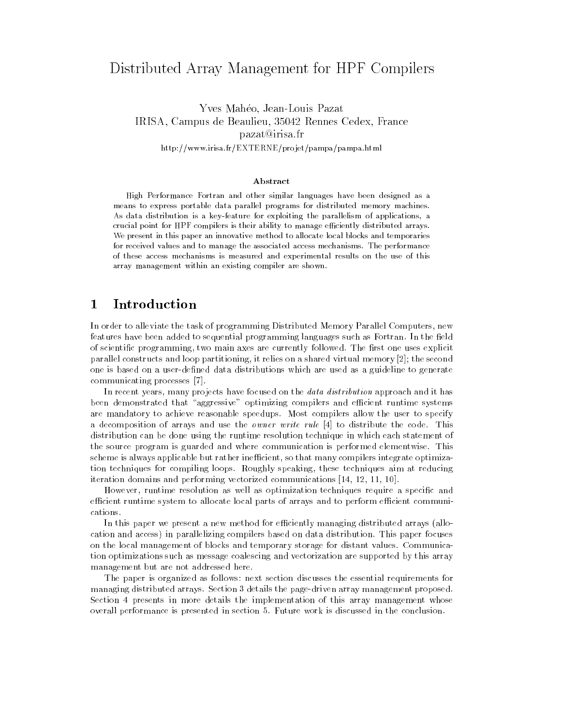# Distributed Array Management for HPF Compilers

Yves Mahéo, Jean-Louis Pazat Yves Maheo, Jean-Louis Pazat IRISA, Campus de Beaulieu, 35042 Rennes Cedex, France pazat@irisa.fr http://www.irisa.fr/EXTERNE/projet/pampa/pampa.html

### Abstract

High Performance Fortran and other similar languages have been designed as a means to express portable data parallel programs for distributed memory machines. As data distribution is a key-feature for exploiting the parallelism of applications, a crucial point for HPF compilers is their ability to manage efficiently distributed arrays. We present in this paper an innovative method to allocate local blocks and temporaries for received values and to manage the associated access mechanisms. The performance of these access mechanisms is measured and experimental results on the use of this array management within an existing compiler are shown.

### $\mathbf{1}$ **Introduction**

In order to alleviate the task of programming Distributed Memory Parallel Computers, new features have been added to sequential programming languages such as Fortran. In the field of scientific programming, two main axes are currently followed. The first one uses explicit parallel constructs and loop partitioning, it relies on a shared virtual memory [2]; the second one is based on a user-defined data distributions which are used as a guideline to generate communicating processes [7].

In recent years, many projects have focused on the *data distribution* approach and it has been demonstrated that "aggressive" optimizing compilers and efficient runtime systems are mandatory to achieve reasonable speedups. Most compilers allow the user to specify a decomposition of arrays and use the owner write rule [4] to distribute the code. This distribution can be done using the runtime resolution technique in which each statement of the source program is guarded and where communication is performed elementwise. This scheme is always applicable but rather inefficient, so that many compilers integrate optimization techniques for compiling loops. Roughly speaking, these techniques aim at reducing iteration domains and performing vectorized communications [14, 12, 11, 10].

However, runtime resolution as well as optimization techniques require a specific and efficient runtime system to allocate local parts of arrays and to perform efficient communications

In this paper we present a new method for efficiently managing distributed arrays (allocation and access) in parallelizing compilers based on data distribution. This paper focuses on the local management of blocks and temporary storage for distant values. Communication optimizations such as message coalescing and vectorization are supported by this array management but are not addressed here.

The paper is organized as follows: next section discusses the essential requirements for managing distributed arrays. Section 3 details the page-driven array management proposed. Section 4 presents in more details the implementation of this array management whose overall performance is presented in section 5. Future work is discussed in the conclusion.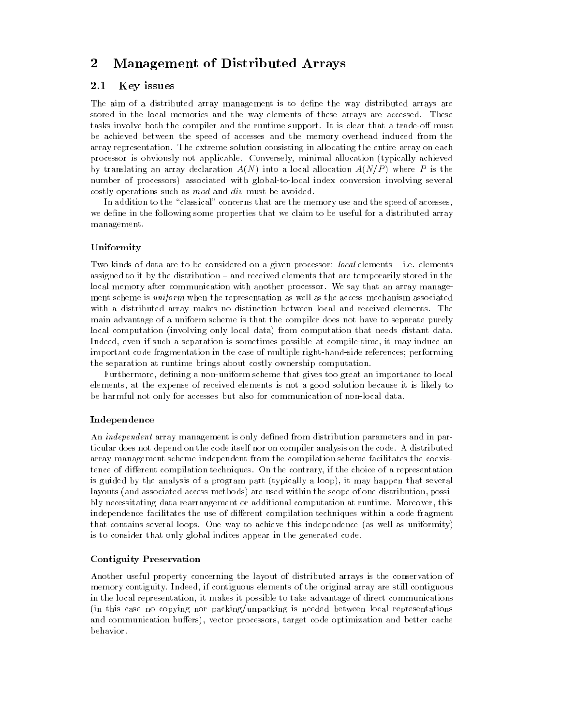### $\overline{2}$ Management of Distributed Arrays

### $2.1$ Key issues

The aim of a distributed array management is to define the way distributed arrays are stored in the local memories and the way elements of these arrays are accessed. These tasks involve both the compiler and the runtime support. It is clear that a trade-off must be achieved between the speed of accesses and the memory overhead induced from the array representation. The extreme solution consisting in allocating the entire array on each processor is obviously not applicable. Conversely, minimal allocation (typically achieved by translating an array declaration  $A(N)$  into a local allocation  $A(N/P)$  where P is the number of processors) associated with global-to-local index conversion involving several costly operations such as mod and div must be avoided.

In addition to the "classical" concerns that are the memory use and the speed of accesses, we define in the following some properties that we claim to be useful for a distributed array management.

## Uniformity

Two kinds of data are to be considered on a given processor: local elements - i.e. elements assigned to it by the distribution – and received elements that are temporarily stored in the local memory after communication with another processor. We say that an array manage ment scheme is *uniform* when the representation as well as the access mechanism associated with a distributed array makes no distinction between local and received elements. The main advantage of a uniform scheme is that the compiler does not have to separate purely local computation (involving only local data) from computation that needs distant data. Indeed, even if such a separation is sometimes possible at compile-time, it may induce an important code fragmentation in the case of multiple right-hand-side references; performing the separation at runtime brings about costly ownership computation.

Furthermore, defining a non-uniform scheme that gives too great an importance to local elements, at the expense of received elements is not a good solution because it is likely to be harmful not only for accesses but also for communication of non-local data.

## Independence

An *independent* array management is only defined from distribution parameters and in particular does not depend on the code itself nor on compiler analysis on the code. A distributed array management scheme independent from the compilation scheme facilitates the coexistence of different compilation techniques. On the contrary, if the choice of a representation is guided by the analysis of a program part (typically a loop), it may happen that several layouts (and associated access methods) are used within the scope of one distribution, possibly necessitating data rearrangement or additional computation at runtime. Moreover, this independence facilitates the use of different compilation techniques within a code fragment that contains several loops. One way to achieve this independence (as well as uniformity) is to consider that only global indices appear in the generated code.

## Contiguity Preservation

Another useful property concerning the layout of distributed arrays is the conservation of memory contiguity. Indeed, if contiguous elements of the original array are still contiguous in the local representation, it makes it possible to take advantage of direct communications (in this case no copying nor packing/unpacking is needed between local representations and communication buffers), vector processors, target code optimization and better cache behavior.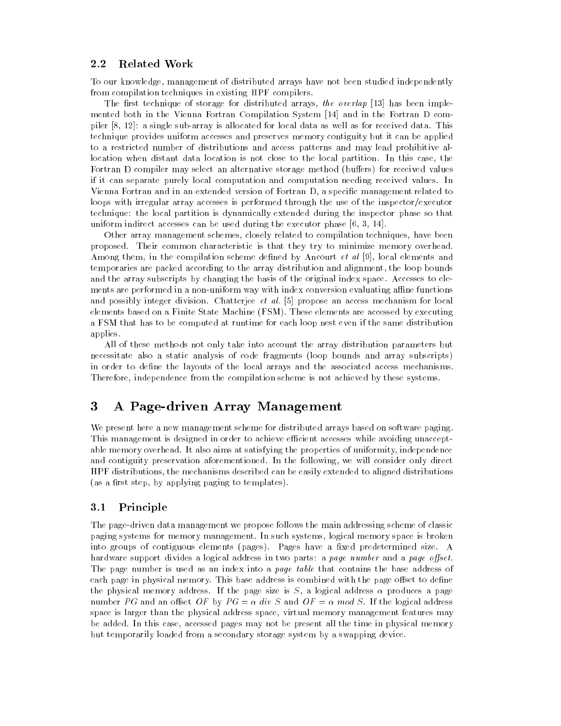### 2.2 Related Work

To our knowledge, management of distributed arrays have not been studied independently from compilation techniques in existing HPF compilers.

The first technique of storage for distributed arrays, the overlap  $[13]$  has been implemented both in the Vienna Fortran Compilation System [14] and in the Fortran D compiler [8, 12]: a single sub-array is allocated for local data as well as for received data. This technique provides uniform accesses and preserves memory contiguity but it can be applied to a restricted number of distributions and access patterns and may lead prohibitive allocation when distant data location is not close to the local partition. In this case, the Fortran D compiler may select an alternative storage method (buffers) for received values if it can separate purely local computation and computation needing received values. In Vienna Fortran and in an extended version of Fortran D, a specific management related to loops with irregular array accesses is performed through the use of the inspector/executor technique: the local partition is dynamically extended during the inspector phase so that uniform indirect accesses can be used during the executor phase [6, 3, 14].

Other array management schemes, closely related to compilation techniques, have been proposed. Their common characteristic is that they try to minimize memory overhead. Among them, in the compilation scheme defined by Ancourt  $et$  al [9], local elements and temporaries are packed according to the array distribution and alignment, the loop bounds and the array subscripts by changing the basis of the original index space. Accesses to ele ments are performed in a non-uniform way with index conversion evaluating affine functions and possibly integer division. Chatterjee *et al.* [5] propose an access mechanism for local elements based on a Finite State Machine (FSM). These elements are accessed by executing a FSM that has to be computed at runtime for each loop nest even if the same distribution applies.

All of these methods not only take into account the array distribution parameters but necessitate also a static analysis of code fragments (loop bounds and array subscripts) in order to define the layouts of the local arrays and the associated access mechanisms. Therefore, independence from the compilation scheme is not achieved by these systems.

### 3 3 A Page-driven Array Management

We present here a new management scheme for distributed arrays based on software paging. This management is designed in order to achieve efficient accesses while avoiding unacceptable memory overhead. It also aims at satisfying the properties of uniformity, independence and contiguity preservation aforementioned. In the following, we will consider only direct HPF distributions, the mechanisms described can be easily extended to aligned distributions (as a first step, by applying paging to templates).

### $3.1$ **Principle**

The page-driven data management we propose follows the main addressing scheme of classic paging systems for memory management. In such systems, logical memory space is broken into groups of contiguous elements (pages). Pages have a fixed predetermined size. A hardware support divides a logical address in two parts: a page number and a page offset. The page number is used as an index into a *page table* that contains the base address of each page in physical memory. This base address is combined with the page offset to define the physical memory address. If the page size is S, a logical address  $\alpha$  produces a page number PG and an offset OF by  $PG = \alpha$  div S and  $OF = \alpha$  mod S. If the logical address space is larger than the physical address space, virtual memory management features may be added. In this case, accessed pages may not be present all the time in physical memory but temporarily loaded from a secondary storage system by a swapping device.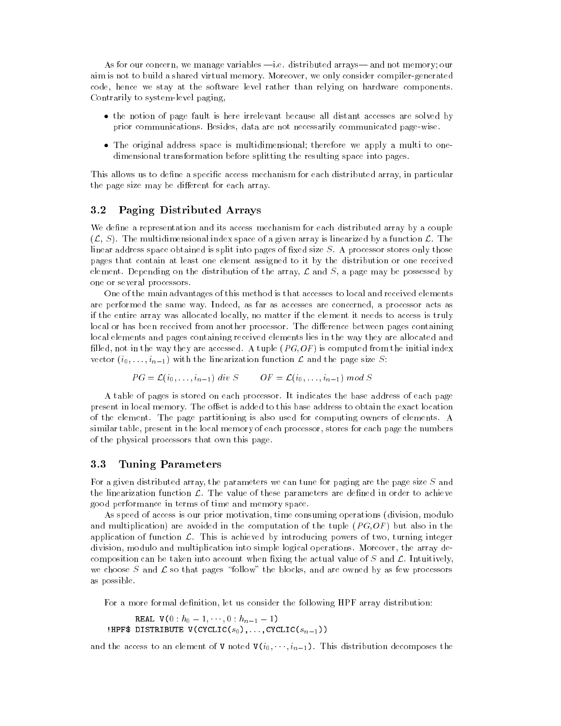As for our concern, we manage variables  $-i.e.$  distributed arrays—and not memory; our aim is not to build a shared virtual memory. Moreover, we only consider compiler-generated code, hence we stay at the software level rather than relying on hardware components. Contrarily to system-level paging,

- the notion of page fault is here irrelevant because all distant accesses are solved by prior communications. Besides, data are not necessarily communicated page-wise.
- The original address space is multidimensional; therefore we apply a multi to onedimensional transformation before splitting the resulting space into pages.

This allows us to define a specific access mechanism for each distributed array, in particular the page size may be different for each array.

### 3.2 Paging Distributed Arrays

We define a representation and its access mechanism for each distributed array by a couple  $(\mathcal{L}, S)$ . The multidimensional index space of a given array is linearized by a function  $\mathcal{L}$ . The linear address space obtained is split into pages of fixed size  $S$ . A processor stores only those pages that contain at least one element assigned to it by the distribution or one received element. Depending on the distribution of the array,  $\mathcal L$  and  $S$ , a page may be possessed by one or several processors.

One of the main advantages of this method is that accesses to local and received elements are performed the same way. Indeed, as far as accesses are concerned, a processor acts as if the entire array was allocated locally, no matter if the element it needs to access is truly local or has been received from another processor. The difference between pages containing local elements and pages containing received elements lies in the way they are allocated and filled, not in the way they are accessed. A tuple  $(PG, OF)$  is computed from the initial index vector  $(i_0, \ldots, i_{n-1})$  with the linearization function  $\mathcal L$  and the page size S:

$$
PG = \mathcal{L}(i_0, \ldots, i_{n-1}) \ div S \qquad OF = \mathcal{L}(i_0, \ldots, i_{n-1}) \ mod S
$$

A table of pages is stored on each processor. It indicates the base address of each page present in local memory. The offset is added to this base address to obtain the exact location of the element. The page partitioning is also used for computing owners of elements. A similar table, present in the local memory of each processor, stores for each page the numbers of the physical processors that own this page.

### 3.3 Tuning Parameters

For a given distributed array, the parameters we can tune for paging are the page size S and the linearization function  $\mathcal{L}$ . The value of these parameters are defined in order to achieve good performance in terms of time and memory space.

As speed of access is our prior motivation, time consuming operations (division, modulo and multiplication) are avoided in the computation of the tuple  $(PG, OF)$  but also in the application of function  $\mathcal{L}$ . This is achieved by introducing powers of two, turning integer division, modulo and multiplication into simple logical operations. Moreover, the array decomposition can be taken into account when fixing the actual value of  $S$  and  $\mathcal{L}$ . Intuitively, we choose S and  $\mathcal L$  so that pages "follow" the blocks, and are owned by as few processors as possible.

For a more formal definition, let us consider the following HPF array distribution:

```
REAL REAL VALUE OF THE REAL PROPERTY AND REAL PROPERTY.
. Here we have the contract vector \mathcal{A} of \mathcal{A} , and \mathcal{A} , and \mathcal{A} , \mathcal{A} , \mathcal{A} , \mathcal{A} , \mathcal{A} , \mathcal{A} , \mathcal{A} , \mathcal{A} , \mathcal{A} , \mathcal{A} , \mathcal{A} , \mathcal{A} , \mathcal{A} ,
```
and the access to an element of V noted  $V(i_0, \dots, i_{n-1})$ . This distribution decomposes the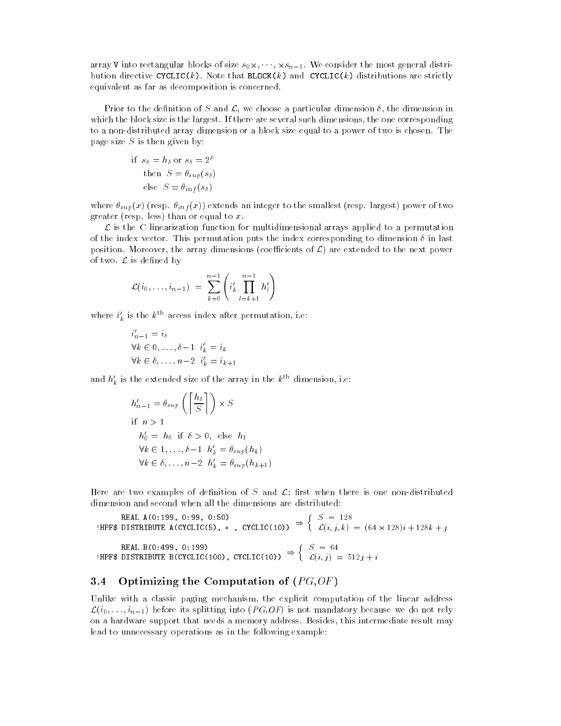array v into rectangular blocks of size s $0\cdot$  ;  $\cdot$  ;  $\cdot$  ;  $\cdot$  ;  $\cdot$  ;  $\cdot$  ;  $\cdot$  is an into  $\sigma$  into  $\sigma$ bution directive CYCLIC(k). Note that BLOCK(k) and CYCLIC(k) distributions are strictly equivalent as far as decomposition is concerned.

Prior to the definition of S and  $\mathcal{L}$ , we choose a particular dimension  $\delta$ , the dimension in which the block size is the largest. If there are several such dimensions, the one corresponding to a non-distributed array dimension or a block size equal to a power of two is chosen. The page size  $S$  is then given by:

if 
$$
s_{\delta} = h_{\delta}
$$
 or  $s_{\delta} = 2^{\rho}$   
then  $S = \theta_{\sup}(s_{\delta})$   
else  $S = \theta_{\inf}(s_{\delta})$ 

where  $\theta_{sup}(x)$  (resp.  $\theta_{inf}(x)$ ) extends an integer to the smallest (resp. largest) power of two greater (resp. less) than or equal to  $x$ .

 $\mathcal L$  is the C linearization function for multidimensional arrays applied to a permutation of the index vector. This permutation puts the index corresponding to dimension  $\delta$  in last position. Moreover, the array dimensions (coefficients of  $\mathcal{L}$ ) are extended to the next power of two.  $\mathcal L$  is defined by

$$
\mathcal{L}(i_0,\ldots,i_{n-1}) = \sum_{k=0}^{n-1} \left( i'_k \prod_{l=k+1}^{n-1} h'_l \right)
$$

where  $i_k$  is the  $k^{\prime\prime\prime}$  access index after permutation, i.e:

$$
i'_{n-1} = i_{\delta}
$$
  
\n
$$
\forall k \in 0, \dots, \delta - 1 \quad i'_{k} = i_{k}
$$
  
\n
$$
\forall k \in \delta, \dots, n-2 \quad i'_{k} = i_{k+1}
$$

and  $h'_{k}$  is the extended size of the array in the  $k^{\text{th}}$  dimension, i.e:

$$
h'_{n-1} = \theta_{sup} \left( \left\lceil \frac{h_{\delta}}{S} \right\rceil \right) \times S
$$
  
if  $n > 1$   

$$
h'_{0} = h_{0} \text{ if } \delta > 0, \text{ else } h_{1}
$$
  

$$
\forall k \in 1, ..., \delta - 1 \ h'_{k} = \theta_{sup}(h_{k})
$$
  

$$
\forall k \in \delta, ..., n-2 \ h'_{k} = \theta_{sup}(h_{k+1})
$$

Here are two examples of definition of S and  $\mathcal{L}$ ; first when there is one non-distributed dimension and second when all the dimensions are distributed:

**IMPF\$ DISTRIBUTE A(CYCLIC(5), \*, CYCLIC(10))**  $\Rightarrow$  **{**  $\mathcal{L}(i)$  $S = 128$  $\sim$  (iii)  $\sim$  (0  $\pm$  )  $\sim$  120  $\mu$  | 120 $\mu$  | j HPF\$ DISTRIBUTE B(CYCLIC(100), CYCLIC(10))  $\Rightarrow \begin{cases} C_i & \text{if } i \end{cases}$  $S = 64$ L(i; j) = 512j + <sup>i</sup>

## 3.4 Optimizing the Computation of  $(PG, OF)$

Unlike with a classic paging mechanism, the explicit computation of the linear address  $\mathcal{L}(i_0,\ldots,i_{n-1})$  before its splitting into  $(PG,OF)$  is not mandatory because we do not rely on a hardware support that needs a memory address. Besides, this intermediate result may lead to unnecessary operations as in the following example: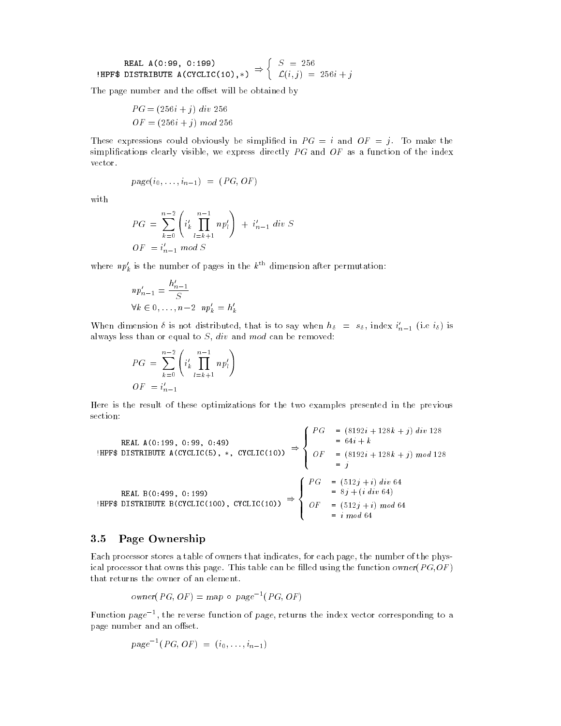**REAL A(0:99, 0:199)**  
**HPF\$ DISTRIBUTE A(CYCLIC(10),\*)** 
$$
\Rightarrow
$$
  $\begin{cases} S = 256 \\ \mathcal{L}(i,j) = 256i + j \end{cases}$ 

The page number and the offset will be obtained by

$$
PG = (256i + j) \ div 256
$$

$$
OF = (256i + j) \ mod 256
$$

These expressions could obviously be simplified in  $PG = i$  and  $OF = j$ . To make the simplifications clearly visible, we express directly  $PG$  and  $OF$  as a function of the index vector.

$$
page(i_0, \ldots, i_{n-1}) = (PG, OF)
$$

with

$$
PG = \sum_{k=0}^{n-2} \left( i'_k \prod_{l=k+1}^{n-1} n p'_l \right) + i'_{n-1} \, div \, S
$$
  

$$
OF = i'_{n-1} \, mod \, S
$$

where  $np'_k$  is the number of pages in the  $k^{\text{th}}$  dimension after permutation:

$$
np'_{n-1} = \frac{h'_{n-1}}{S}
$$
  

$$
\forall k \in 0, \dots, n-2 \quad np'_k = h'_k
$$

when dimension *o* is not distributed, that is to say when  $n_{\delta}$  =  $s_{\delta}$ , index  $i_{n-1}$  (i.e  $i_{\delta}$ ) is always less than or equal to  $S$ ,  $div$  and  $mod$  can be removed:

$$
PG = \sum_{k=0}^{n-2} \left( i'_k \prod_{l=k+1}^{n-1} n p'_l \right)
$$
  

$$
OF = i'_{n-1}
$$

Here is the result of these optimizations for the two examples presented in the previous section:

 $88.88$ 

REAL A(0:199, 0:99, 0:49)

\nHPF\$ DISTRIBUTE A(CYCLIC(5), \*, CYCLIC(10))

\n
$$
\Rightarrow \begin{cases}\nPG &= (8192i + 128k + j) \text{ div } 128 \\
0 &= 64i + k \\
OF &= (8192i + 128k + j) \text{ mod } 128 \\
0 &= j\n\end{cases}
$$
\nREAL B(0:499, 0:199)

\nHPF\$ DISTRIBUTE B(CYCLIC(100), CYCLIC(10))

\n
$$
\Rightarrow \begin{cases}\nPG &= (8192i + 128k + j) \text{ div } 128 \\
OF &= (8192i + 128k + j) \text{ mod } 128 \\
0 &= j\n\end{cases}
$$
\n
$$
\Rightarrow \begin{cases}\nPG &= (8192i + 128k + j) \text{ div } 128 \\
OF &= (8192i + 128k + j) \text{ mod } 128 \\
0 &= j\n\end{cases}
$$

## 3.5 Page Ownership

Each processor stores a table of owners that indicates, for each page, the number of the physical processor that owns this page. This table can be filled using the function owner  $(PG, OF)$ that returns the owner of an element.

$$
owner(PG, OF) = map \circ page^{-1}(PG, OF)
$$

runction *page* +, the reverse function of *page*, returns the index vector corresponding to a page number and an offset.

$$
page^{-1}(PG, OF) = (i_0, \ldots, i_{n-1})
$$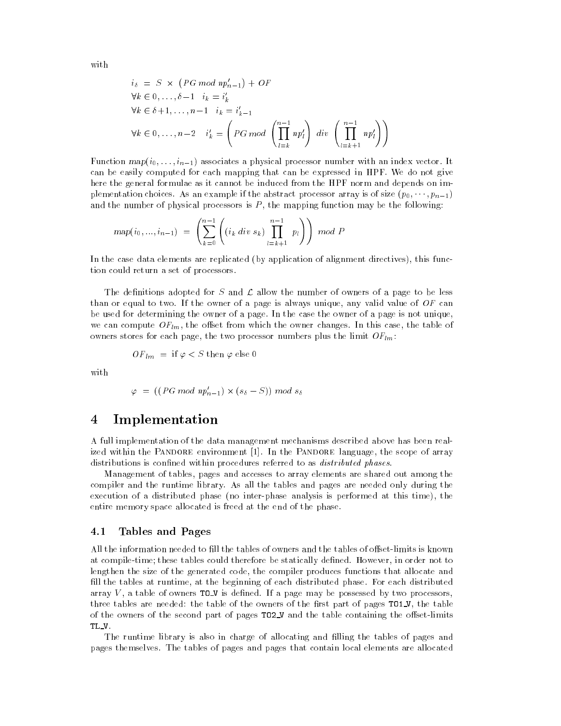with

$$
i_{\delta} = S \times (PG \mod np'_{n-1}) + OF
$$
  
\n
$$
\forall k \in 0, ..., \delta-1 \quad i_k = i'_k
$$
  
\n
$$
\forall k \in \delta+1, ..., n-1 \quad i_k = i'_{k-1}
$$
  
\n
$$
\forall k \in 0, ..., n-2 \quad i'_k = \left(PG \mod \left(\prod_{l=k}^{n-1} np'_l\right) \, div \left(\prod_{l=k+1}^{n-1} np'_l\right)\right)
$$

Function  $map(i_0, \ldots, i_{n-1})$  associates a physical processor number with an index vector. It can be easily computed for each mapping that can be expressed in HPF. We do not give here the general formulae as it cannot be induced from the HPF norm and depends on implementation choices. As an example if the abstract processor array is of size  $(p_0, \dots, p_{n-1})$ and the number of physical processors is  $P$ , the mapping function may be the following:

$$
map(i_0, ..., i_{n-1}) = \left( \sum_{k=0}^{n-1} \left( (i_k \ div s_k) \prod_{l=k+1}^{n-1} p_l \right) \right) \ mod P
$$

In the case data elements are replicated (by application of alignment directives), this function could return a set of processors.

The definitions adopted for S and  $\mathcal L$  allow the number of owners of a page to be less than or equal to two. If the owner of a page is always unique, any valid value of  $OF$  can be used for determining the owner of a page. In the case the owner of a page is not unique, we can compute  $OF_{lm}$ , the offset from which the owner changes. In this case, the table of owners stores for each page, the two processor numbers plus the limit  $OF_{lm}$ .

$$
OF_{lm} = \text{ if } \varphi < S \text{ then } \varphi \text{ else } 0
$$

with

$$
\varphi = ((PG \ mod \ np'_{n-1}) \times (s_{\delta} - S)) \ mod \ s_{\delta}
$$

### $\overline{4}$ **Implementation**

A full implementation of the data management mechanisms described above has been realized within the PANDORE environment [1]. In the PANDORE language, the scope of array distributions is confined within procedures referred to as *distributed phases*.

Management of tables, pages and accesses to array elements are shared out among the compiler and the runtime library. As all the tables and pages are needed only during the execution of a distributed phase (no inter-phase analysis is performed at this time), the entire memory space allocated is freed at the end of the phase.

#### 4.1 Tables and Pages

All the information needed to fill the tables of owners and the tables of offset-limits is known at compile-time; these tables could therefore be statically defined. However, in order not to lengthen the size of the generated code, the compiler produces functions that allocate and ll the tables at runtime, at the beginning of each distributed phase. For each distributed array  $V$ , a table of owners TO\_V is defined. If a page may be possessed by two processors, three tables are needed: the table of the owners of the first part of pages  $T01_V$ , the table of the owners of the second part of pages TO2\_V and the table containing the offset-limits TL V.

The runtime library is also in charge of allocating and filling the tables of pages and pages themselves. The tables of pages and pages that contain local elements are allocated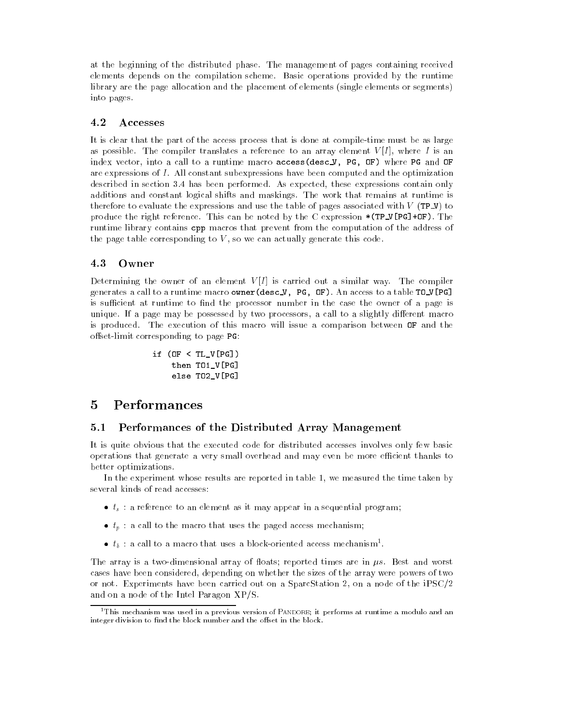at the beginning of the distributed phase. The management of pages containing received elements depends on the compilation scheme. Basic operations provided by the runtime library are the page allocation and the placement of elements (single elements or segments) into pages.

### 4.2 Accesses

It is clear that the part of the access process that is done at compile-time must be as large as possible. The compiler translates a reference to an array element  $V[I]$ , where I is an index vector, into a call to a runtime macro access(desc V, PG, OF) where PG and OF are expressions of I. All constant subexpressions have been computed and the optimization described in section 3.4 has been performed. As expected, these expressions contain only additions and constant logical shifts and maskings. The work that remains at runtime is therefore to evaluate the expressions and use the table of pages associated with  $V$  (TP\_V) to produce the right reference. This can be noted by the C expression  $*(TP_V[PG]+OF)$ . The runtime library contains cpp macros that prevent from the computation of the address of the page table corresponding to  $V$ , so we can actually generate this code.

### 4.3 Owner

Determining the owner of an element  $V[I]$  is carried out a similar way. The compiler generates a call to a runtime macro owner(desc<sub>V</sub>, PG, OF). An access to a table TO\_V[PG] is sufficient at runtime to find the processor number in the case the owner of a page is unique. If a page may be possessed by two processors, a call to a slightly different macro is produced. The execution of this macro will issue a comparison between OF and the offset-limit corresponding to page PG:

```
if (OF < TL V[PG])then TO1_V[PG]
    else TO2_V[PG]
```
### $\overline{5}$ **Performances**

## 5.1 Performances of the Distributed Array Management

It is quite obvious that the executed code for distributed accesses involves only few basic operations that generate a very small overhead and may even be more efficient thanks to better optimizations.

In the experiment whose results are reported in table 1, we measured the time taken by several kinds of read accesses:

- $\bullet$   $t_s$ : a reference to an element as it may appear in a sequential program;
- $\bullet$   $t_n$ : a call to the macro that uses the paged access mechanism;
- $\bullet$   $\iota_b$  : a call to a macro that uses a block-oriented access mechanism .

The array is a two-dimensional array of floats; reported times are in  $\mu s$ . Best and worst cases have been considered, depending on whether the sizes of the array were powers of two or not. Experiments have been carried out on a SparcStation 2, on a node of the iPSC/2 and on a node of the Intel Paragon XP/S.

<sup>1</sup>This mechanism was used in a previous version of Pandore; it performs at runtime a modulo and an integer division to find the block number and the offset in the block.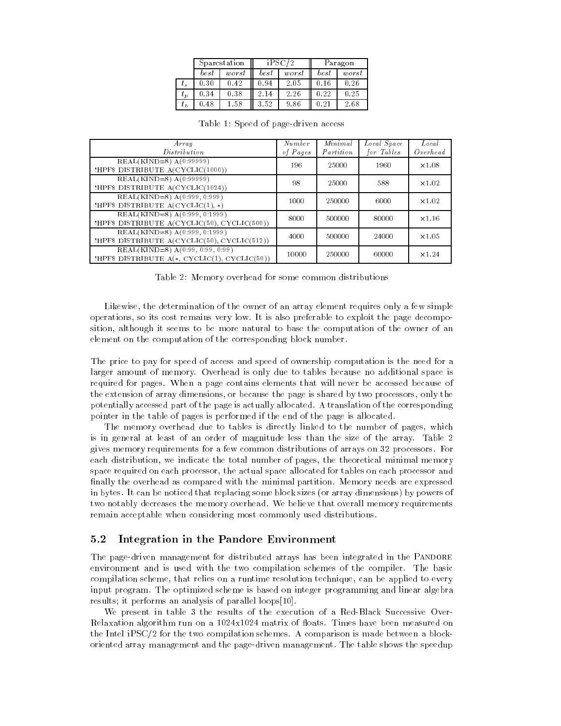|          | Sparcstation |       | iPSC      |       | Paragon       |       |
|----------|--------------|-------|-----------|-------|---------------|-------|
|          | best         | worst | $_{best}$ | worst | best          | worst |
| $\tau_s$ | 0.30         | 0.42  | 0.94      | 2.05  | 0.16          | 0.26  |
| $t_p$    | 0.34         | 0.38  | 2.14      | 2.26  | 0.22          | 0.25  |
| $t_{b}$  | 0.48         | 1.58  | 3.52      | 9.86  | $0.2^{\circ}$ | 2.68  |

| Array<br>Distribution                                                                 | Number<br>of Pages | Minimal<br>Partition | Local Space<br>for Tables | Local<br>$O$ <i>verhead</i> |
|---------------------------------------------------------------------------------------|--------------------|----------------------|---------------------------|-----------------------------|
| $REAL(KIND=8) A(0:99999)$<br>!HPF\$ DISTRIBUTE A(CYCLIC(1000))                        | 196                | 25000                | 1960                      | x1.08                       |
| $REAL(KIND=8) A(0:99999)$<br>!HPF\$ DISTRIBUTE A(CYCLIC(1024))                        | 98                 | 25000                | 588                       | $\times 1.02$               |
| $REAL(KIND=8) A(0:999, 0:999)$<br>!HPF\$ DISTRIBUTE $A(CYCLIC(1), *)$                 | 1000               | 250000               | 6000                      | $\times 1.02$               |
| $REAL(KIND=8) A(0:999, 0:1999)$                                                       | 8000               | 500000               | 80000                     | $\times 1.16$               |
| !HPF\$ DISTRIBUTE A(CYCLIC(50), CYCLIC(500))<br>$REAL(KIND=8) A(0:999, 0:1999)$       | 4000               | 500000               | 24000                     | x1.05                       |
| !HPF\$ DISTRIBUTE A(CYCLIC(50), CYCLIC(512))<br>$REAL(KIND=8)$ A $(0.99, 0.99, 0.99)$ | 10000              | 250000               | 60000                     | $\times 1.24$               |
| !HPF\$ DISTRIBUTE $A(*, CYCLIC(1), CYCLIC(50))$                                       |                    |                      |                           |                             |

Table 1: Speed of page-driven access

Table 2: Memory overhead for some common distributions

Likewise, the determination of the owner of an array element requires only a few simple operations, so its cost remains very low. It is also preferable to exploit the page decomposition, although it seems to be more natural to base the computation of the owner of an element on the computation of the corresponding block number.

The price to pay for speed of access and speed of ownership computation is the need for a larger amount of memory. Overhead is only due to tables because no additional space is required for pages. When a page contains elements that will never be accessed because of the extension of array dimensions, or because the page is shared by two processors, only the potentially accessed part of the page is actually allocated. A translation of the corresponding pointer in the table of pages is performed if the end of the page is allocated.

The memory overhead due to tables is directly linked to the number of pages, which is in general at least of an order of magnitude less than the size of the array. Table 2 gives memory requirements for a few common distributions of arrays on 32 processors. For each distribution, we indicate the total number of pages, the theoretical minimal memory space required on each processor, the actual space allocated for tables on each processor and finally the overhead as compared with the minimal partition. Memory needs are expressed in bytes. It can be noticed that replacing some block sizes (or array dimensions) by powers of two notably decreases the memory overhead. We believe that overall memory requirements remain acceptable when considering most commonly used distributions.

## 5.2 Integration in the Pandore Environment

The page-driven management for distributed arrays has been integrated in the PANDORE environment and is used with the two compilation schemes of the compiler. The basic compilation scheme, that relies on a runtime resolution technique, can be applied to every input program. The optimized scheme is based on integer programming and linear algebra results; it performs an analysis of parallel loops[10].

We present in table 3 the results of the execution of a Red-Black Successive Over- Relaxation algorithm run on a 1024x1024 matrix of floats. Times have been measured on the Intel iPSC/2 for the two compilation schemes. A comparison is made between a blockoriented array management and the page-driven management. The table shows the speedup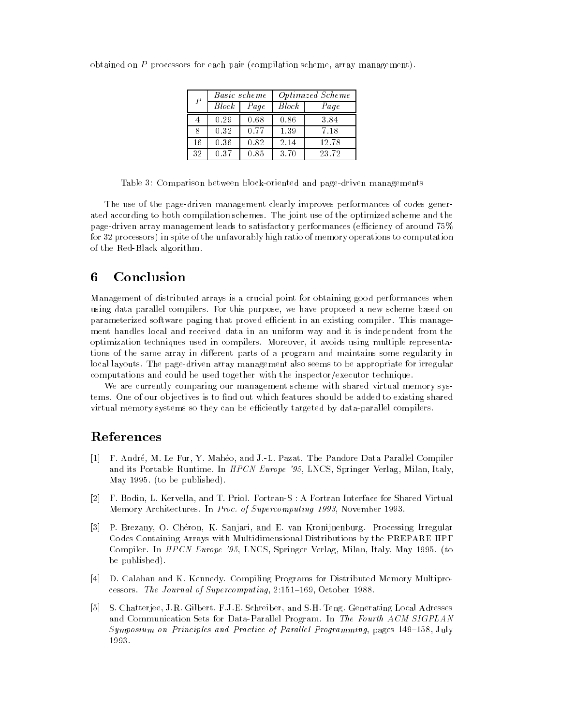| $\overline{P}$ |                    | Basic scheme | <i>Optimized Scheme</i> |       |  |
|----------------|--------------------|--------------|-------------------------|-------|--|
|                | $\overline{Block}$ | Page         | <i>Block</i>            | Page  |  |
|                | 0.29               | 0.68         | 0.86                    | 3.84  |  |
| 8              | 0.32               | 0.77         | 1.39                    | 7.18  |  |
| 16             | 0.36               | 0.82         | 2.14                    | 12.78 |  |
| 32             | 0.37               | 0.85         | 3.70                    | 23.72 |  |

obtained on P processors for each pair (compilation scheme, array management).

Table 3: Comparison between block-oriented and page-driven managements

The use of the page-driven management clearly improves performances of codes generated according to both compilation schemes. The joint use of the optimized scheme and the page-driven array management leads to satisfactory performances (efficiency of around 75% for 32 processors) in spite of the unfavorably high ratio of memory operations to computation of the Red-Black algorithm.

### 6 **Conclusion**

Management of distributed arrays is a crucial point for obtaining good performances when using data parallel compilers. For this purpose, we have proposed a new scheme based on parameterized software paging that proved efficient in an existing compiler. This management handles local and received data in an uniform way and it is independent from the optimization techniques used in compilers. Moreover, it avoids using multiple representations of the same array in different parts of a program and maintains some regularity in local layouts. The page-driven array management also seems to be appropriate for irregular computations and could be used together with the inspector/executor technique.

We are currently comparing our management scheme with shared virtual memory systems. One of our objectives is to find out which features should be added to existing shared virtual memory systems so they can be efficiently targeted by data-parallel compilers.

## References

- [1] F. Andre, M. Le Fur, Y. Maheo, and J.-L. Pazat. The Pandore Data Parallel Compiler and its Portable Runtime. In HPCN Europe '95, LNCS, Springer Verlag, Milan, Italy, May 1995. (to be published).
- [2] F. Bodin, L. Kervella, and T. Priol. Fortran-S : A Fortran Interface for Shared Virtual Memory Architectures. In Proc. of Supercomputing 1993, November 1993.
- [3] P. Brezany, O. Cheron, K. Sanjari, and E. van Kronijnenburg. Processing Irregular Codes Containing Arrays with Multidimensional Distributions by the PREPARE HPF Compiler. In *HPCN Europe '95*, LNCS, Springer Verlag, Milan, Italy, May 1995. (to be published).
- [4] D. Calahan and K. Kennedy. Compiling Programs for Distributed Memory Multiprocessors. The Journal of Supercomputing, 2:151-169, October 1988.
- [5] S. Chatterjee, J.R. Gilbert, F.J.E. Schreiber, and S.H. Teng. Generating Local Adresses and Communication Sets for Data-Parallel Program. In The Fourth ACM SIGPLAN Symposium on Principles and Practice of Parallel Programming, pages 149-158, July 1993.